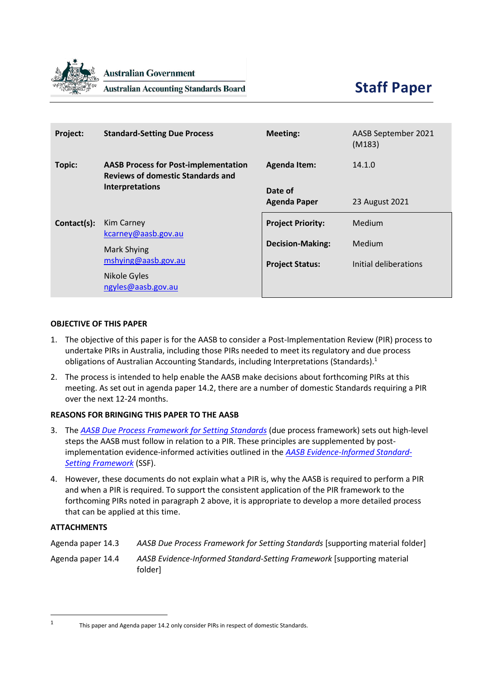

**Australian Government** 

**Australian Accounting Standards Board** 

| Project:    | <b>Standard-Setting Due Process</b>                                                     | <b>Meeting:</b>          | AASB September 2021<br>(M183) |
|-------------|-----------------------------------------------------------------------------------------|--------------------------|-------------------------------|
| Topic:      | <b>AASB Process for Post-implementation</b><br><b>Reviews of domestic Standards and</b> | <b>Agenda Item:</b>      | 14.1.0                        |
|             | <b>Interpretations</b>                                                                  | Date of                  |                               |
|             |                                                                                         | <b>Agenda Paper</b>      | 23 August 2021                |
| Contact(s): | Kim Carney<br>kcarney@aasb.gov.au                                                       | <b>Project Priority:</b> | Medium                        |
|             | Mark Shying<br>mshying@aasb.gov.au                                                      | <b>Decision-Making:</b>  | Medium                        |
|             |                                                                                         | <b>Project Status:</b>   | Initial deliberations         |
|             | Nikole Gyles                                                                            |                          |                               |

### **OBJECTIVE OF THIS PAPER**

- 1. The objective of this paper is for the AASB to consider a Post-Implementation Review (PIR) process to undertake PIRs in Australia, including those PIRs needed to meet its regulatory and due process obligations of Australian Accounting Standards, including Interpretations (Standards). 1
- <span id="page-0-0"></span>2. The process is intended to help enable the AASB make decisions about forthcoming PIRs at this meeting. As set out in agenda paper 14.2, there are a number of domestic Standards requiring a PIR over the next 12-24 months.

# **REASONS FOR BRINGING THIS PAPER TO THE AASB**

- 3. The *[AASB Due Process Framework for Setting Standards](https://www.aasb.gov.au/admin/file/content102/c3/AASB_Due_Process_Framework_09-19.pdf)* (due process framework) sets out high-level steps the AASB must follow in relation to a PIR. These principles are supplemented by postimplementation evidence-informed activities outlined in the *[AASB Evidence-Informed Standard-](https://www.aasb.gov.au/admin/file/content102/c3/AASB_EISSF.pdf)[Setting Framework](https://www.aasb.gov.au/admin/file/content102/c3/AASB_EISSF.pdf)* (SSF).
- 4. However, these documents do not explain what a PIR is, why the AASB is required to perform a PIR and when a PIR is required. To support the consistent application of the PIR framework to the forthcoming PIRs noted in paragraph [2](#page-0-0) above, it is appropriate to develop a more detailed process that can be applied at this time.

### **ATTACHMENTS**

Agenda paper 14.3 *AASB Due Process Framework for Setting Standards* [supporting material folder]

Agenda paper 14.4 *AASB Evidence-Informed Standard-Setting Framework* [supporting material folder]

<sup>1</sup>

This paper and Agenda paper 14.2 only consider PIRs in respect of domestic Standards.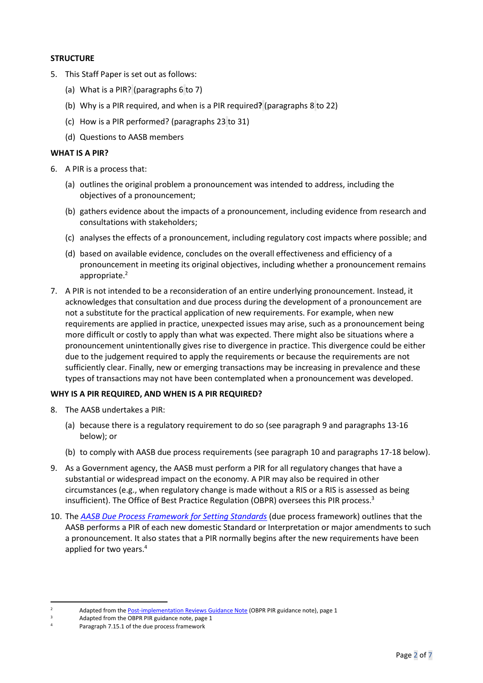### **STRUCTURE**

- 5. This Staff Paper is set out as follows:
	- (a) [What is a PIR?](#page-1-0) (paragraph[s 6](#page-1-1) t[o 7\)](#page-1-2)
	- (b) Why [is a PIR required,](#page-1-3) and when is a PIR required**?** (paragraphs [8](#page-1-4) to [22\)](#page-3-0)
	- (c) [How is a PIR performed?](#page-3-1) (paragraphs [23](#page-3-2) to [31\)](#page-6-0)
	- (d) [Questions to AASB members](#page-6-1)

### <span id="page-1-0"></span>**WHAT IS A PIR?**

- <span id="page-1-1"></span>6. A PIR is a process that:
	- (a) outlines the original problem a pronouncement was intended to address, including the objectives of a pronouncement;
	- (b) gathers evidence about the impacts of a pronouncement, including evidence from research and consultations with stakeholders;
	- (c) analyses the effects of a pronouncement, including regulatory cost impacts where possible; and
	- (d) based on available evidence, concludes on the overall effectiveness and efficiency of a pronouncement in meeting its original objectives, including whether a pronouncement remains appropriate.<sup>2</sup>
- <span id="page-1-2"></span>7. A PIR is not intended to be a reconsideration of an entire underlying pronouncement. Instead, it acknowledges that consultation and due process during the development of a pronouncement are not a substitute for the practical application of new requirements. For example, when new requirements are applied in practice, unexpected issues may arise, such as a pronouncement being more difficult or costly to apply than what was expected. There might also be situations where a pronouncement unintentionally gives rise to divergence in practice. This divergence could be either due to the judgement required to apply the requirements or because the requirements are not sufficiently clear. Finally, new or emerging transactions may be increasing in prevalence and these types of transactions may not have been contemplated when a pronouncement was developed.

# <span id="page-1-3"></span>**WHY IS A PIR REQUIRED, AND WHEN IS A PIR REQUIRED?**

- <span id="page-1-4"></span>8. The AASB undertakes a PIR:
	- (a) because there is a regulatory requirement to do so (see paragraph [9](#page-1-5) and paragraph[s 13](#page-2-0)[-16](#page-2-1) below); or
	- (b) to comply with AASB due process requirements (see paragraph [10](#page-1-6) and paragraph[s 17](#page-3-3)[-18](#page-3-4) below).
- <span id="page-1-5"></span>9. As a Government agency, the AASB must perform a PIR for all regulatory changes that have a substantial or widespread impact on the economy. A PIR may also be required in other circumstances (e.g., when regulatory change is made without a RIS or a RIS is assessed as being insufficient). The Office of Best Practice Regulation (OBPR) oversees this PIR process. 3
- <span id="page-1-6"></span>10. The *[AASB Due Process Framework for Setting Standards](https://www.aasb.gov.au/admin/file/content102/c3/AASB_Due_Process_Framework_09-19.pdf)* (due process framework) outlines that the AASB performs a PIR of each new domestic Standard or Interpretation or major amendments to such a pronouncement. It also states that a PIR normally begins after the new requirements have been applied for two years.<sup>4</sup>

<sup>2</sup> Adapted from th[e Post-implementation Reviews Guidance Note](https://obpr.pmc.gov.au/sites/default/files/2021-06/post-implementation-reviews_0.pdf) (OBPR PIR guidance note), page 1

Adapted from the OBPR PIR guidance note, page 1

Paragraph 7.15.1 of the due process framework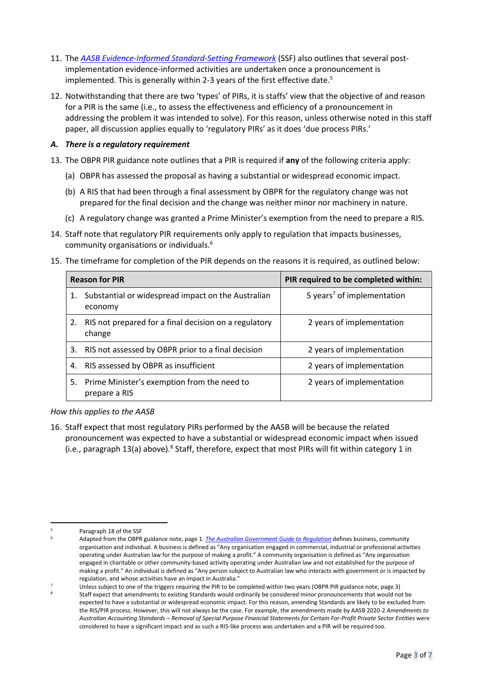- 11. The *[AASB Evidence-Informed Standard-Setting Framework](https://www.aasb.gov.au/admin/file/content102/c3/AASB_EISSF.pdf)* (SSF) also outlines that several postimplementation evidence-informed activities are undertaken once a pronouncement is implemented. This is generally within 2-3 years of the first effective date. 5
- 12. Notwithstanding that there are two 'types' of PIRs, it is staffs' view that the objective of and reason for a PIR is the same (i.e., to assess the effectiveness and efficiency of a pronouncement in addressing the problem it was intended to solve). For this reason, unless otherwise noted in this staff paper, all discussion applies equally to 'regulatory PIRs' as it does 'due process PIRs.'

## *A. There is a regulatory requirement*

- <span id="page-2-0"></span>13. The OBPR PIR guidance note outlines that a PIR is required if **any** of the following criteria apply:
	- (a) OBPR has assessed the proposal as having a substantial or widespread economic impact.
	- (b) A RIS that had been through a final assessment by OBPR for the regulatory change was not prepared for the final decision and the change was neither minor nor machinery in nature.
	- (c) A regulatory change was granted a Prime Minister's exemption from the need to prepare a RIS.
- <span id="page-2-3"></span>14. Staff note that regulatory PIR requirements only apply to regulation that impacts businesses, community organisations or individuals.<sup>6</sup>
- <span id="page-2-2"></span>15. The timeframe for completion of the PIR depends on the reasons it is required, as outlined below:

| <b>Reason for PIR</b> |                                                                 | PIR required to be completed within:   |  |
|-----------------------|-----------------------------------------------------------------|----------------------------------------|--|
|                       | Substantial or widespread impact on the Australian<br>economy   | 5 years <sup>7</sup> of implementation |  |
| 2.                    | RIS not prepared for a final decision on a regulatory<br>change | 2 years of implementation              |  |
| 3.                    | RIS not assessed by OBPR prior to a final decision              | 2 years of implementation              |  |
| 4.                    | RIS assessed by OBPR as insufficient                            | 2 years of implementation              |  |
| 5.                    | Prime Minister's exemption from the need to<br>prepare a RIS    | 2 years of implementation              |  |

*How this applies to the AASB*

<span id="page-2-1"></span>16. Staff expect that most regulatory PIRs performed by the AASB will be because the related pronouncement was expected to have a substantial or widespread economic impact when issued (i.e., paragraph [13\(](#page-2-0)a) above).<sup>8</sup> Staff, therefore, expect that most PIRs will fit within category 1 in

<sup>5</sup> Paragraph 18 of the SSF

<sup>6</sup> Adapted from the OBPR guidance note, page 1. *[The Australian Government Guide to Regulation](https://www.pmc.gov.au/sites/default/files/publications/Australian_Government_Guide_to_Regulation.pdf)* defines business, community organisation and individual. A business is defined as "Any organisation engaged in commercial, industrial or professional activities operating under Australian law for the purpose of making a profit." A community organisation is defined as "Any organisation engaged in charitable or other community-based activity operating under Australian law and not established for the purpose of making a profit." An individual is defined as "Any person subject to Australian law who interacts with government or is impacted by regulation, and whose activities have an impact in Australia."

Unless subject to one of the triggers requiring the PIR to be completed within two years (OBPR PIR guidance note, page 3)

Staff expect that amendments to existing Standards would ordinarily be considered minor pronouncements that would not be expected to have a substantial or widespread economic impact. For this reason, amending Standards are likely to be excluded from the RIS/PIR process. However, this will not always be the case. For example, the amendments made by AASB 2020-2 *Amendments to Australian Accounting Standards – Removal of Special Purpose Financial Statements for Certain For-Profit Private Sector Entities* were considered to have a significant impact and as such a RIS-like process was undertaken and a PIR will be required too.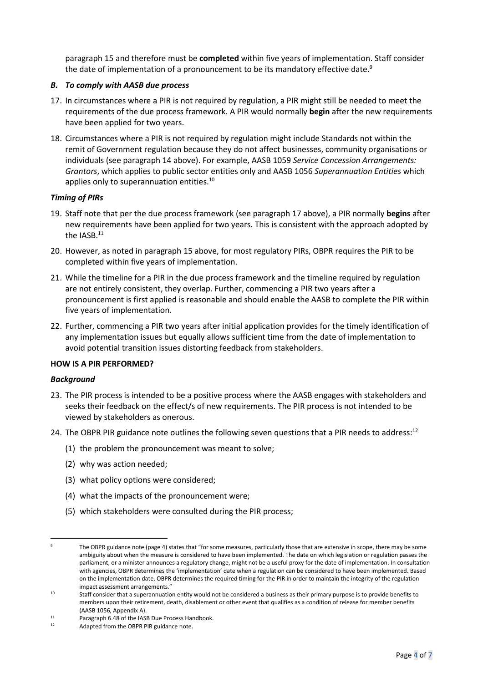paragraph [15](#page-2-2) and therefore must be **completed** within five years of implementation. Staff consider the date of implementation of a pronouncement to be its mandatory effective date.<sup>9</sup>

### <span id="page-3-6"></span>*B. To comply with AASB due process*

- <span id="page-3-3"></span>17. In circumstances where a PIR is not required by regulation, a PIR might still be needed to meet the requirements of the due process framework. A PIR would normally **begin** after the new requirements have been applied for two years.
- <span id="page-3-4"></span>18. Circumstances where a PIR is not required by regulation might include Standards not within the remit of Government regulation because they do not affect businesses, community organisations or individuals (see paragraph [14](#page-2-3) above). For example, AASB 1059 *Service Concession Arrangements: Grantors*, which applies to public sector entities only and AASB 1056 *Superannuation Entities* which applies only to superannuation entities.<sup>10</sup>

### *Timing of PIRs*

- 19. Staff note that per the due process framework (see paragraph [17](#page-3-3) above), a PIR normally **begins** after new requirements have been applied for two years. This is consistent with the approach adopted by the IASB. $^{11}$
- 20. However, as noted in paragraph [15](#page-2-2) above, for most regulatory PIRs, OBPR requires the PIR to be completed within five years of implementation.
- 21. While the timeline for a PIR in the due process framework and the timeline required by regulation are not entirely consistent, they overlap. Further, commencing a PIR two years after a pronouncement is first applied is reasonable and should enable the AASB to complete the PIR within five years of implementation.
- <span id="page-3-0"></span>22. Further, commencing a PIR two years after initial application provides for the timely identification of any implementation issues but equally allows sufficient time from the date of implementation to avoid potential transition issues distorting feedback from stakeholders.

### <span id="page-3-1"></span>**HOW IS A PIR PERFORMED?**

### *Background*

- <span id="page-3-2"></span>23. The PIR process is intended to be a positive process where the AASB engages with stakeholders and seeks their feedback on the effect/s of new requirements. The PIR process is not intended to be viewed by stakeholders as onerous.
- <span id="page-3-5"></span>24. The OBPR PIR guidance note outlines the following seven questions that a PIR needs to address:<sup>12</sup>
	- (1) the problem the pronouncement was meant to solve;
	- (2) why was action needed;
	- (3) what policy options were considered;
	- (4) what the impacts of the pronouncement were;
	- (5) which stakeholders were consulted during the PIR process;

The OBPR guidance note (page 4) states that "for some measures, particularly those that are extensive in scope, there may be some ambiguity about when the measure is considered to have been implemented. The date on which legislation or regulation passes the parliament, or a minister announces a regulatory change, might not be a useful proxy for the date of implementation. In consultation with agencies, OBPR determines the 'implementation' date when a regulation can be considered to have been implemented. Based on the implementation date, OBPR determines the required timing for the PIR in order to maintain the integrity of the regulation impact assessment arrangements."

<sup>&</sup>lt;sup>10</sup> Staff consider that a superannuation entity would not be considered a business as their primary purpose is to provide benefits to members upon their retirement, death, disablement or other event that qualifies as a condition of release for member benefits (AASB 1056, Appendix A).

<sup>11</sup> Paragraph 6.48 of the IASB Due Process Handbook.<br>12 Adapted from the OBBB BIB quidance note.

Adapted from the OBPR PIR guidance note.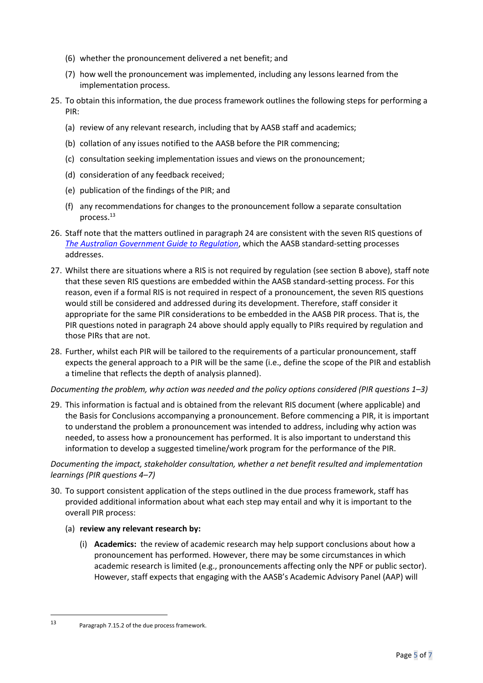- (6) whether the pronouncement delivered a net benefit; and
- (7) how well the pronouncement was implemented, including any lessons learned from the implementation process.
- 25. To obtain this information, the due process framework outlines the following steps for performing a PIR:
	- (a) review of any relevant research, including that by AASB staff and academics;
	- (b) collation of any issues notified to the AASB before the PIR commencing;
	- (c) consultation seeking implementation issues and views on the pronouncement;
	- (d) consideration of any feedback received;
	- (e) publication of the findings of the PIR; and
	- (f) any recommendations for changes to the pronouncement follow a separate consultation process.<sup>13</sup>
- 26. Staff note that the matters outlined in paragrap[h 24](#page-3-5) are consistent with the seven RIS questions of *[The Australian Government Guide to Regulation](https://www.pmc.gov.au/sites/default/files/publications/Australian_Government_Guide_to_Regulation.pdf)*, which the AASB standard-setting processes addresses.
- 27. Whilst there are situations where a RIS is not required by regulation (see sectio[n B](#page-3-6) above), staff note that these seven RIS questions are embedded within the AASB standard-setting process. For this reason, even if a formal RIS is not required in respect of a pronouncement, the seven RIS questions would still be considered and addressed during its development. Therefore, staff consider it appropriate for the same PIR considerations to be embedded in the AASB PIR process. That is, the PIR questions noted in paragrap[h 24](#page-3-5) above should apply equally to PIRs required by regulation and those PIRs that are not.
- 28. Further, whilst each PIR will be tailored to the requirements of a particular pronouncement, staff expects the general approach to a PIR will be the same (i.e., define the scope of the PIR and establish a timeline that reflects the depth of analysis planned).

### *Documenting the problem, why action was needed and the policy options considered (PIR questions 1–3)*

29. This information is factual and is obtained from the relevant RIS document (where applicable) and the Basis for Conclusions accompanying a pronouncement. Before commencing a PIR, it is important to understand the problem a pronouncement was intended to address, including why action was needed, to assess how a pronouncement has performed. It is also important to understand this information to develop a suggested timeline/work program for the performance of the PIR.

*Documenting the impact, stakeholder consultation, whether a net benefit resulted and implementation learnings (PIR questions 4–7)*

30. To support consistent application of the steps outlined in the due process framework, staff has provided additional information about what each step may entail and why it is important to the overall PIR process:

### (a) **review any relevant research by:**

(i) **Academics:** the review of academic research may help support conclusions about how a pronouncement has performed. However, there may be some circumstances in which academic research is limited (e.g., pronouncements affecting only the NPF or public sector). However, staff expects that engaging with the AASB's Academic Advisory Panel (AAP) will

<sup>13</sup> Paragraph 7.15.2 of the due process framework.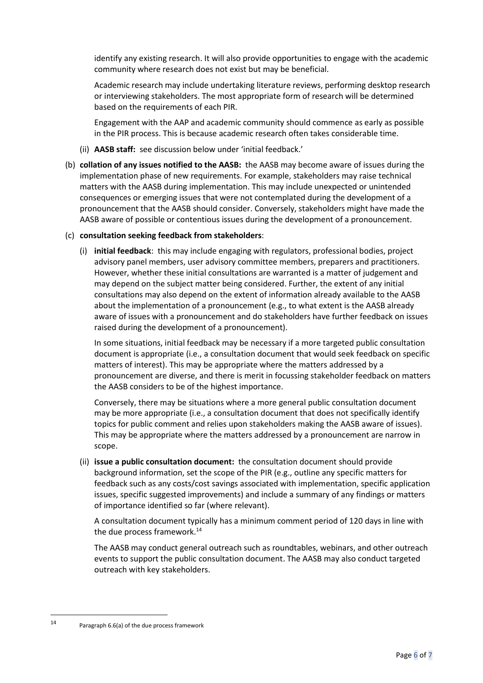identify any existing research. It will also provide opportunities to engage with the academic community where research does not exist but may be beneficial.

Academic research may include undertaking literature reviews, performing desktop research or interviewing stakeholders. The most appropriate form of research will be determined based on the requirements of each PIR.

Engagement with the AAP and academic community should commence as early as possible in the PIR process. This is because academic research often takes considerable time.

- (ii) **AASB staff:** see discussion below under 'initial feedback.'
- (b) **collation of any issues notified to the AASB:** the AASB may become aware of issues during the implementation phase of new requirements. For example, stakeholders may raise technical matters with the AASB during implementation. This may include unexpected or unintended consequences or emerging issues that were not contemplated during the development of a pronouncement that the AASB should consider. Conversely, stakeholders might have made the AASB aware of possible or contentious issues during the development of a pronouncement.

### (c) **consultation seeking feedback from stakeholders**:

(i) **initial feedback**: this may include engaging with regulators, professional bodies, project advisory panel members, user advisory committee members, preparers and practitioners. However, whether these initial consultations are warranted is a matter of judgement and may depend on the subject matter being considered. Further, the extent of any initial consultations may also depend on the extent of information already available to the AASB about the implementation of a pronouncement (e.g., to what extent is the AASB already aware of issues with a pronouncement and do stakeholders have further feedback on issues raised during the development of a pronouncement).

In some situations, initial feedback may be necessary if a more targeted public consultation document is appropriate (i.e., a consultation document that would seek feedback on specific matters of interest). This may be appropriate where the matters addressed by a pronouncement are diverse, and there is merit in focussing stakeholder feedback on matters the AASB considers to be of the highest importance.

Conversely, there may be situations where a more general public consultation document may be more appropriate (i.e., a consultation document that does not specifically identify topics for public comment and relies upon stakeholders making the AASB aware of issues). This may be appropriate where the matters addressed by a pronouncement are narrow in scope.

(ii) **issue a public consultation document:** the consultation document should provide background information, set the scope of the PIR (e.g., outline any specific matters for feedback such as any costs/cost savings associated with implementation, specific application issues, specific suggested improvements) and include a summary of any findings or matters of importance identified so far (where relevant).

A consultation document typically has a minimum comment period of 120 days in line with the due process framework. 14

The AASB may conduct general outreach such as roundtables, webinars, and other outreach events to support the public consultation document. The AASB may also conduct targeted outreach with key stakeholders.

<sup>14</sup> Paragraph 6.6(a) of the due process framework